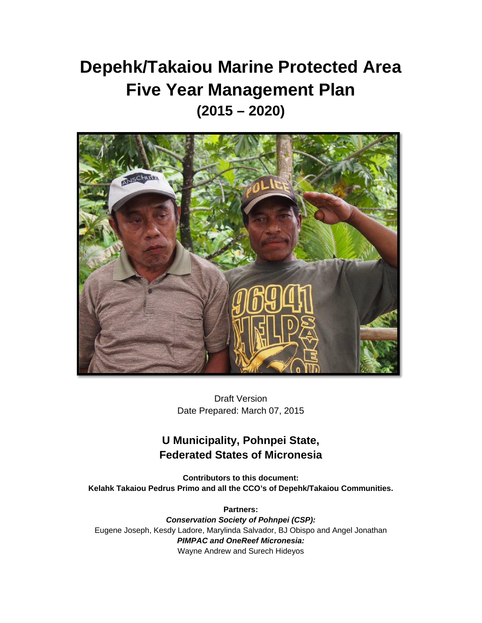# **Depehk/Takaiou Marine Protected Area Five Year Management Plan (2015 – 2020)**



Draft Version Date Prepared: March 07, 2015

# **U Municipality, Pohnpei State, Federated States of Micronesia**

**Contributors to this document: Kelahk Takaiou Pedrus Primo and all the CCO's of Depehk/Takaiou Communities.**

**Partners:**  *Conservation Society of Pohnpei (CSP):*  Eugene Joseph, Kesdy Ladore, Marylinda Salvador, BJ Obispo and Angel Jonathan *PIMPAC and OneReef Micronesia:* Wayne Andrew and Surech Hideyos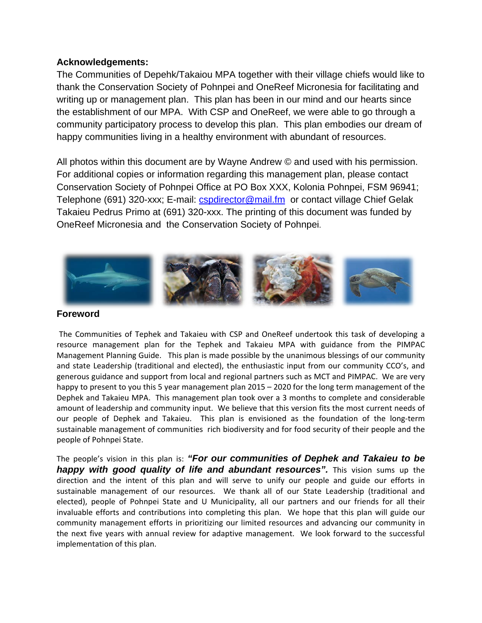#### **Acknowledgements:**

The Communities of Depehk/Takaiou MPA together with their village chiefs would like to thank the Conservation Society of Pohnpei and OneReef Micronesia for facilitating and writing up or management plan. This plan has been in our mind and our hearts since the establishment of our MPA. With CSP and OneReef, we were able to go through a community participatory process to develop this plan. This plan embodies our dream of happy communities living in a healthy environment with abundant of resources.

All photos within this document are by Wayne Andrew © and used with his permission. For additional copies or information regarding this management plan, please contact Conservation Society of Pohnpei Office at PO Box XXX, Kolonia Pohnpei, FSM 96941; Telephone (691) 320-xxx; E-mail: [cspdirector@mail.fm](mailto:cspdirector@mail.fm) or contact village Chief Gelak Takaieu Pedrus Primo at (691) 320-xxx. The printing of this document was funded by OneReef Micronesia and the Conservation Society of Pohnpei.



#### **Foreword**

The Communities of Tephek and Takaieu with CSP and OneReef undertook this task of developing a resource management plan for the Tephek and Takaieu MPA with guidance from the PIMPAC Management Planning Guide. This plan is made possible by the unanimous blessings of our community and state Leadership (traditional and elected), the enthusiastic input from our community CCO's, and generous guidance and support from local and regional partners such as MCT and PIMPAC. We are very happy to present to you this 5 year management plan 2015 – 2020 for the long term management of the Dephek and Takaieu MPA. This management plan took over a 3 months to complete and considerable amount of leadership and community input. We believe that this version fits the most current needs of our people of Dephek and Takaieu. This plan is envisioned as the foundation of the long-term sustainable management of communities rich biodiversity and for food security of their people and the people of Pohnpei State.

The people's vision in this plan is: *"For our communities of Dephek and Takaieu to be happy with good quality of life and abundant resources".* This vision sums up the direction and the intent of this plan and will serve to unify our people and guide our efforts in sustainable management of our resources. We thank all of our State Leadership (traditional and elected), people of Pohnpei State and U Municipality, all our partners and our friends for all their invaluable efforts and contributions into completing this plan. We hope that this plan will guide our community management efforts in prioritizing our limited resources and advancing our community in the next five years with annual review for adaptive management. We look forward to the successful implementation of this plan.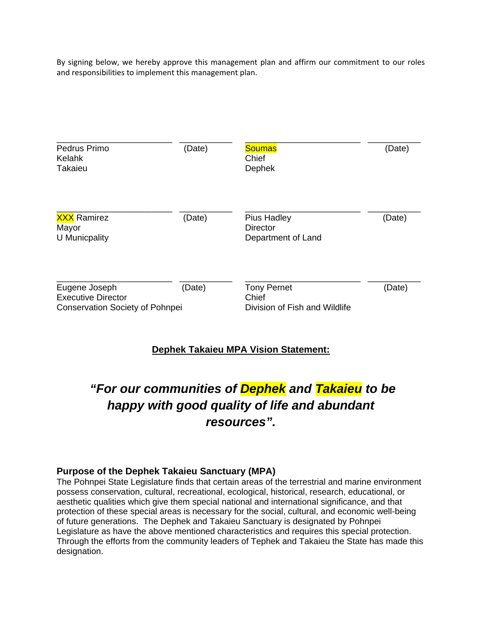By signing below, we hereby approve this management plan and affirm our commitment to our roles and responsibilities to implement this management plan.

| Pedrus Primo<br>Kelahk<br>Takaieu                                                    | (Date) | <b>Soumas</b><br>Chief<br>Dephek                             | (Date) |
|--------------------------------------------------------------------------------------|--------|--------------------------------------------------------------|--------|
| <b>XXX</b> Ramirez<br>Mayor<br>U Municpality                                         | (Date) | <b>Pius Hadley</b><br><b>Director</b><br>Department of Land  | (Date) |
| Eugene Joseph<br><b>Executive Director</b><br><b>Conservation Society of Pohnpei</b> | (Date) | <b>Tony Pernet</b><br>Chief<br>Division of Fish and Wildlife | (Date) |

## **Dephek Takaieu MPA Vision Statement:**

# *"For our communities of Dephek and Takaieu to be happy with good quality of life and abundant resources".*

#### **Purpose of the Dephek Takaieu Sanctuary (MPA)**

The Pohnpei State Legislature finds that certain areas of the terrestrial and marine environment possess conservation, cultural, recreational, ecological, historical, research, educational, or aesthetic qualities which give them special national and international significance, and that protection of these special areas is necessary for the social, cultural, and economic well-being of future generations. The Dephek and Takaieu Sanctuary is designated by Pohnpei Legislature as have the above mentioned characteristics and requires this special protection. Through the efforts from the community leaders of Tephek and Takaieu the State has made this designation.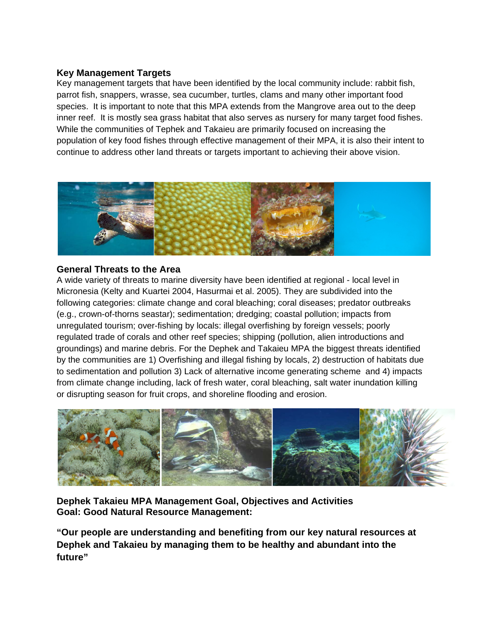## **Key Management Targets**

Key management targets that have been identified by the local community include: rabbit fish, parrot fish, snappers, wrasse, sea cucumber, turtles, clams and many other important food species. It is important to note that this MPA extends from the Mangrove area out to the deep inner reef. It is mostly sea grass habitat that also serves as nursery for many target food fishes. While the communities of Tephek and Takaieu are primarily focused on increasing the population of key food fishes through effective management of their MPA, it is also their intent to continue to address other land threats or targets important to achieving their above vision.



#### **General Threats to the Area**

A wide variety of threats to marine diversity have been identified at regional - local level in Micronesia (Kelty and Kuartei 2004, Hasurmai et al. 2005). They are subdivided into the following categories: climate change and coral bleaching; coral diseases; predator outbreaks (e.g., crown-of-thorns seastar); sedimentation; dredging; coastal pollution; impacts from unregulated tourism; over-fishing by locals: illegal overfishing by foreign vessels; poorly regulated trade of corals and other reef species; shipping (pollution, alien introductions and groundings) and marine debris. For the Dephek and Takaieu MPA the biggest threats identified by the communities are 1) Overfishing and illegal fishing by locals, 2) destruction of habitats due to sedimentation and pollution 3) Lack of alternative income generating scheme and 4) impacts from climate change including, lack of fresh water, coral bleaching, salt water inundation killing or disrupting season for fruit crops, and shoreline flooding and erosion.



**Dephek Takaieu MPA Management Goal, Objectives and Activities Goal: Good Natural Resource Management:** 

**"Our people are understanding and benefiting from our key natural resources at Dephek and Takaieu by managing them to be healthy and abundant into the future"**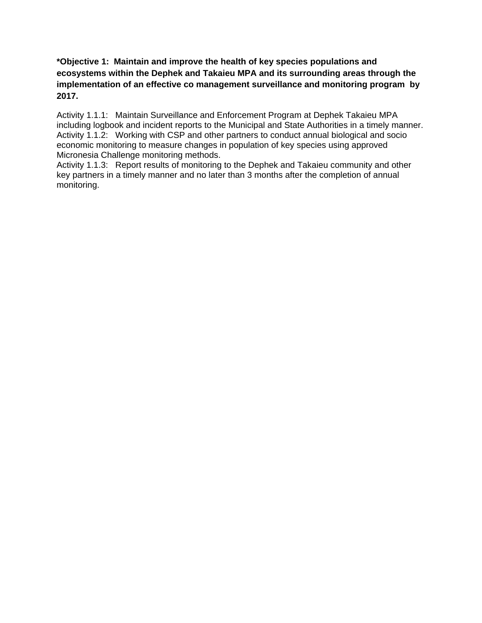#### **\*Objective 1: Maintain and improve the health of key species populations and ecosystems within the Dephek and Takaieu MPA and its surrounding areas through the implementation of an effective co management surveillance and monitoring program by 2017.**

Activity 1.1.1: Maintain Surveillance and Enforcement Program at Dephek Takaieu MPA including logbook and incident reports to the Municipal and State Authorities in a timely manner. Activity 1.1.2: Working with CSP and other partners to conduct annual biological and socio economic monitoring to measure changes in population of key species using approved Micronesia Challenge monitoring methods.

Activity 1.1.3: Report results of monitoring to the Dephek and Takaieu community and other key partners in a timely manner and no later than 3 months after the completion of annual monitoring.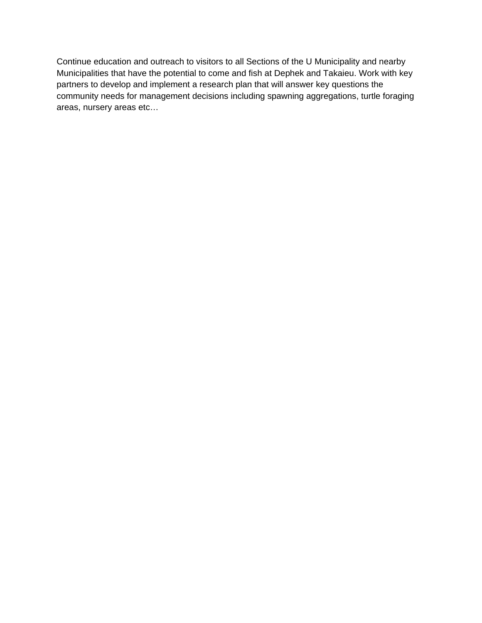Continue education and outreach to visitors to all Sections of the U Municipality and nearby Municipalities that have the potential to come and fish at Dephek and Takaieu. Work with key partners to develop and implement a research plan that will answer key questions the community needs for management decisions including spawning aggregations, turtle foraging areas, nursery areas etc…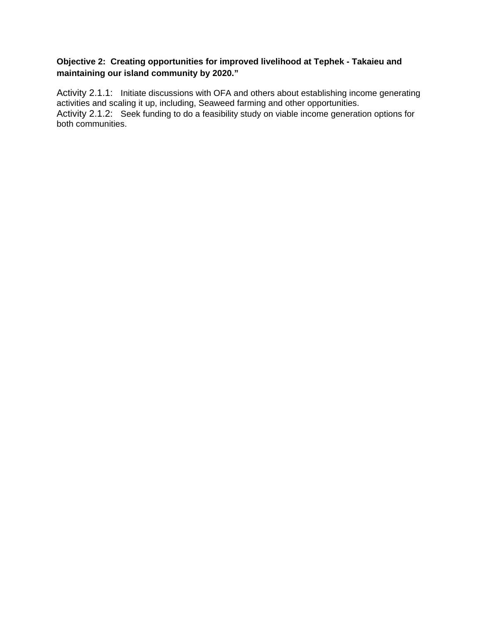## **Objective 2: Creating opportunities for improved livelihood at Tephek - Takaieu and maintaining our island community by 2020."**

Activity 2.1.1: Initiate discussions with OFA and others about establishing income generating activities and scaling it up, including, Seaweed farming and other opportunities. Activity 2.1.2: Seek funding to do a feasibility study on viable income generation options for both communities.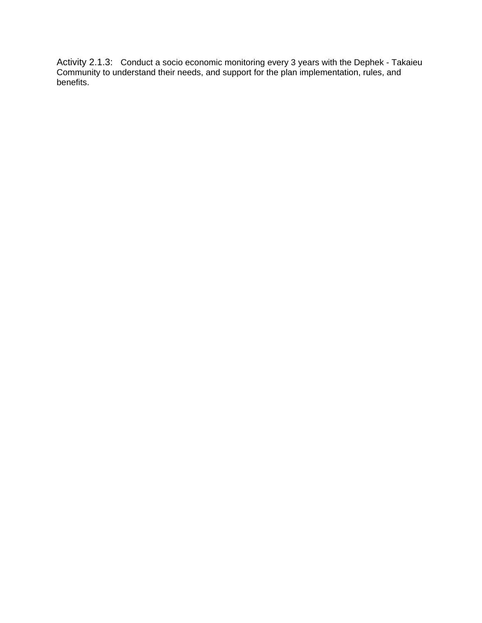Activity 2.1.3: Conduct a socio economic monitoring every 3 years with the Dephek - Takaieu Community to understand their needs, and support for the plan implementation, rules, and benefits.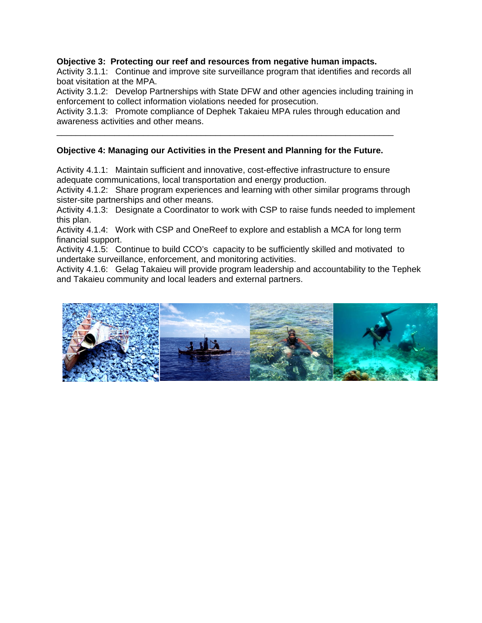#### **Objective 3: Protecting our reef and resources from negative human impacts.**

Activity 3.1.1: Continue and improve site surveillance program that identifies and records all boat visitation at the MPA.

Activity 3.1.2: Develop Partnerships with State DFW and other agencies including training in enforcement to collect information violations needed for prosecution.

Activity 3.1.3: Promote compliance of Dephek Takaieu MPA rules through education and awareness activities and other means.

\_\_\_\_\_\_\_\_\_\_\_\_\_\_\_\_\_\_\_\_\_\_\_\_\_\_\_\_\_\_\_\_\_\_\_\_\_\_\_\_\_\_\_\_\_\_\_\_\_\_\_\_\_\_\_\_\_\_\_\_\_\_\_\_\_\_\_\_\_\_

#### **Objective 4: Managing our Activities in the Present and Planning for the Future.**

Activity 4.1.1: Maintain sufficient and innovative, cost-effective infrastructure to ensure adequate communications, local transportation and energy production.

Activity 4.1.2: Share program experiences and learning with other similar programs through sister-site partnerships and other means.

Activity 4.1.3: Designate a Coordinator to work with CSP to raise funds needed to implement this plan.

Activity 4.1.4: Work with CSP and OneReef to explore and establish a MCA for long term financial support.

Activity 4.1.5: Continue to build CCO's capacity to be sufficiently skilled and motivated to undertake surveillance, enforcement, and monitoring activities.

Activity 4.1.6: Gelag Takaieu will provide program leadership and accountability to the Tephek and Takaieu community and local leaders and external partners.

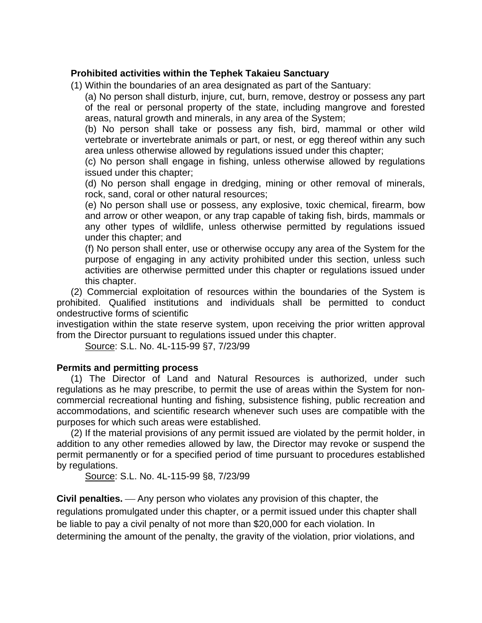# **Prohibited activities within the Tephek Takaieu Sanctuary**

(1) Within the boundaries of an area designated as part of the Santuary:

(a) No person shall disturb, injure, cut, burn, remove, destroy or possess any part of the real or personal property of the state, including mangrove and forested areas, natural growth and minerals, in any area of the System;

(b) No person shall take or possess any fish, bird, mammal or other wild vertebrate or invertebrate animals or part, or nest, or egg thereof within any such area unless otherwise allowed by regulations issued under this chapter;

(c) No person shall engage in fishing, unless otherwise allowed by regulations issued under this chapter;

(d) No person shall engage in dredging, mining or other removal of minerals, rock, sand, coral or other natural resources;

(e) No person shall use or possess, any explosive, toxic chemical, firearm, bow and arrow or other weapon, or any trap capable of taking fish, birds, mammals or any other types of wildlife, unless otherwise permitted by regulations issued under this chapter; and

(f) No person shall enter, use or otherwise occupy any area of the System for the purpose of engaging in any activity prohibited under this section, unless such activities are otherwise permitted under this chapter or regulations issued under this chapter.

(2) Commercial exploitation of resources within the boundaries of the System is prohibited. Qualified institutions and individuals shall be permitted to conduct ondestructive forms of scientific

investigation within the state reserve system, upon receiving the prior written approval from the Director pursuant to regulations issued under this chapter.

Source: S.L. No. 4L-115-99 §7, 7/23/99

## **Permits and permitting process**

(1) The Director of Land and Natural Resources is authorized, under such regulations as he may prescribe, to permit the use of areas within the System for noncommercial recreational hunting and fishing, subsistence fishing, public recreation and accommodations, and scientific research whenever such uses are compatible with the purposes for which such areas were established.

(2) If the material provisions of any permit issued are violated by the permit holder, in addition to any other remedies allowed by law, the Director may revoke or suspend the permit permanently or for a specified period of time pursuant to procedures established by regulations.

Source: S.L. No. 4L-115-99 §8, 7/23/99

**Civil penalties.** Any person who violates any provision of this chapter, the regulations promulgated under this chapter, or a permit issued under this chapter shall be liable to pay a civil penalty of not more than \$20,000 for each violation. In determining the amount of the penalty, the gravity of the violation, prior violations, and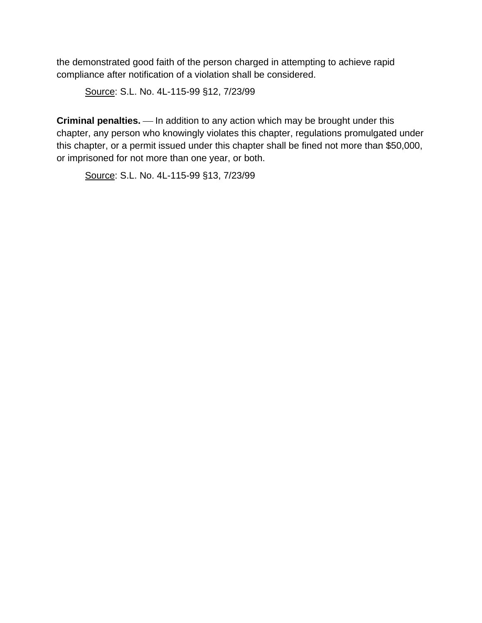the demonstrated good faith of the person charged in attempting to achieve rapid compliance after notification of a violation shall be considered.

Source: S.L. No. 4L-115-99 §12, 7/23/99

**Criminal penalties.** — In addition to any action which may be brought under this chapter, any person who knowingly violates this chapter, regulations promulgated under this chapter, or a permit issued under this chapter shall be fined not more than \$50,000, or imprisoned for not more than one year, or both.

Source: S.L. No. 4L-115-99 §13, 7/23/99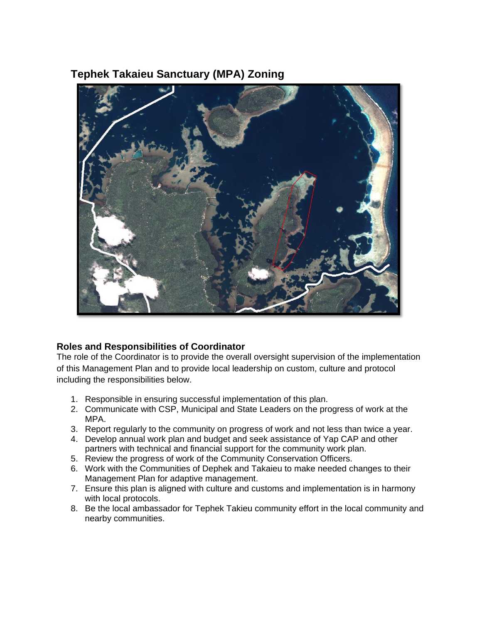# **Tephek Takaieu Sanctuary (MPA) Zoning**



# **Roles and Responsibilities of Coordinator**

The role of the Coordinator is to provide the overall oversight supervision of the implementation of this Management Plan and to provide local leadership on custom, culture and protocol including the responsibilities below.

- 1. Responsible in ensuring successful implementation of this plan.
- 2. Communicate with CSP, Municipal and State Leaders on the progress of work at the MPA.
- 3. Report regularly to the community on progress of work and not less than twice a year.
- 4. Develop annual work plan and budget and seek assistance of Yap CAP and other partners with technical and financial support for the community work plan.
- 5. Review the progress of work of the Community Conservation Officers.
- 6. Work with the Communities of Dephek and Takaieu to make needed changes to their Management Plan for adaptive management.
- 7. Ensure this plan is aligned with culture and customs and implementation is in harmony with local protocols.
- 8. Be the local ambassador for Tephek Takieu community effort in the local community and nearby communities.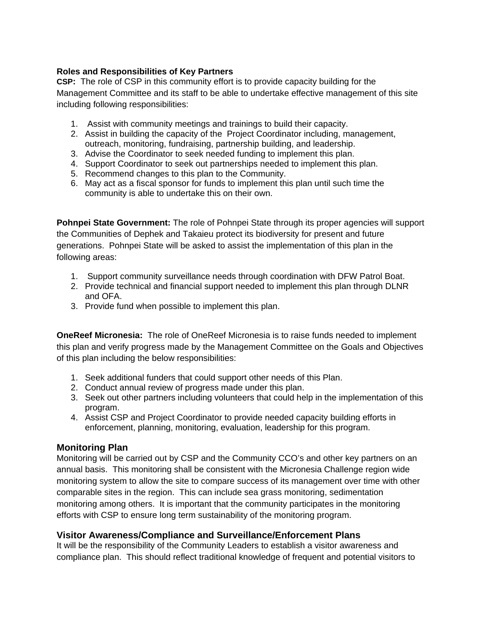## **Roles and Responsibilities of Key Partners**

**CSP:** The role of CSP in this community effort is to provide capacity building for the Management Committee and its staff to be able to undertake effective management of this site including following responsibilities:

- 1. Assist with community meetings and trainings to build their capacity.
- 2. Assist in building the capacity of the Project Coordinator including, management, outreach, monitoring, fundraising, partnership building, and leadership.
- 3. Advise the Coordinator to seek needed funding to implement this plan.
- 4. Support Coordinator to seek out partnerships needed to implement this plan.
- 5. Recommend changes to this plan to the Community.
- 6. May act as a fiscal sponsor for funds to implement this plan until such time the community is able to undertake this on their own.

**Pohnpei State Government:** The role of Pohnpei State through its proper agencies will support the Communities of Dephek and Takaieu protect its biodiversity for present and future generations. Pohnpei State will be asked to assist the implementation of this plan in the following areas:

- 1. Support community surveillance needs through coordination with DFW Patrol Boat.
- 2. Provide technical and financial support needed to implement this plan through DLNR and OFA.
- 3. Provide fund when possible to implement this plan.

**OneReef Micronesia:** The role of OneReef Micronesia is to raise funds needed to implement this plan and verify progress made by the Management Committee on the Goals and Objectives of this plan including the below responsibilities:

- 1. Seek additional funders that could support other needs of this Plan.
- 2. Conduct annual review of progress made under this plan.
- 3. Seek out other partners including volunteers that could help in the implementation of this program.
- 4. Assist CSP and Project Coordinator to provide needed capacity building efforts in enforcement, planning, monitoring, evaluation, leadership for this program.

## **Monitoring Plan**

Monitoring will be carried out by CSP and the Community CCO's and other key partners on an annual basis. This monitoring shall be consistent with the Micronesia Challenge region wide monitoring system to allow the site to compare success of its management over time with other comparable sites in the region. This can include sea grass monitoring, sedimentation monitoring among others. It is important that the community participates in the monitoring efforts with CSP to ensure long term sustainability of the monitoring program.

## **Visitor Awareness/Compliance and Surveillance/Enforcement Plans**

It will be the responsibility of the Community Leaders to establish a visitor awareness and compliance plan. This should reflect traditional knowledge of frequent and potential visitors to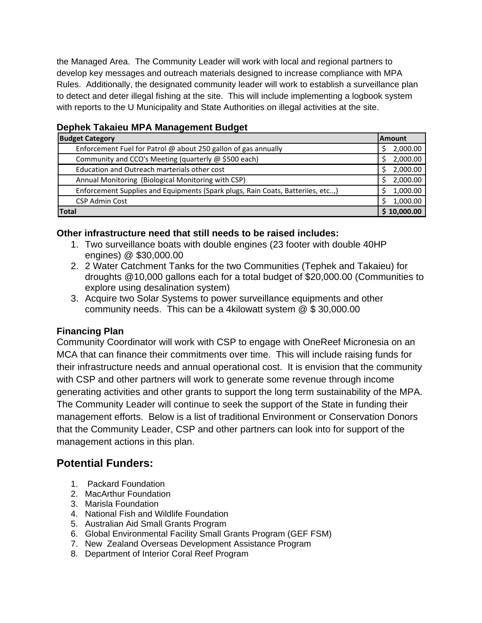the Managed Area. The Community Leader will work with local and regional partners to develop key messages and outreach materials designed to increase compliance with MPA Rules. Additionally, the designated community leader will work to establish a surveillance plan to detect and deter illegal fishing at the site. This will include implementing a logbook system with reports to the U Municipality and State Authorities on illegal activities at the site.

| Dephen Tanaleu MFA Manayement Duuyet                                            |               |  |  |  |
|---------------------------------------------------------------------------------|---------------|--|--|--|
| <b>Budget Category</b>                                                          |               |  |  |  |
| Enforcement Fuel for Patrol @ about 250 gallon of gas annually                  | 2,000.00<br>Ś |  |  |  |
| Community and CCO's Meeting (quarterly @ \$500 each)                            | 2,000.00<br>Ś |  |  |  |
| Education and Outreach marterials other cost                                    | 2,000.00<br>Ś |  |  |  |
| Annual Monitoring (Biological Monitoring with CSP)                              | 2,000.00<br>S |  |  |  |
| Enforcement Supplies and Equipments (Spark plugs, Rain Coats, Batteriies, etc,) |               |  |  |  |
| <b>CSP Admin Cost</b>                                                           | 1,000.00<br>S |  |  |  |
| <b>Total</b>                                                                    |               |  |  |  |

# **Dephek Takaieu MPA Management Budget**

#### **Other infrastructure need that still needs to be raised includes:**

- 1. Two surveillance boats with double engines (23 footer with double 40HP engines) @ \$30,000.00
- 2. 2 Water Catchment Tanks for the two Communities (Tephek and Takaieu) for droughts @10,000 gallons each for a total budget of \$20,000.00 (Communities to explore using desalination system)
- 3. Acquire two Solar Systems to power surveillance equipments and other community needs. This can be a 4kilowatt system @ \$ 30,000.00

## **Financing Plan**

Community Coordinator will work with CSP to engage with OneReef Micronesia on an MCA that can finance their commitments over time. This will include raising funds for their infrastructure needs and annual operational cost. It is envision that the community with CSP and other partners will work to generate some revenue through income generating activities and other grants to support the long term sustainability of the MPA. The Community Leader will continue to seek the support of the State in funding their management efforts. Below is a list of traditional Environment or Conservation Donors that the Community Leader, CSP and other partners can look into for support of the management actions in this plan.

# **Potential Funders:**

- 1. Packard Foundation
- 2. MacArthur Foundation
- 3. Marisla Foundation
- 4. National Fish and Wildlife Foundation
- 5. Australian Aid Small Grants Program
- 6. Global Environmental Facility Small Grants Program (GEF FSM)
- 7. New Zealand Overseas Development Assistance Program
- 8. Department of Interior Coral Reef Program